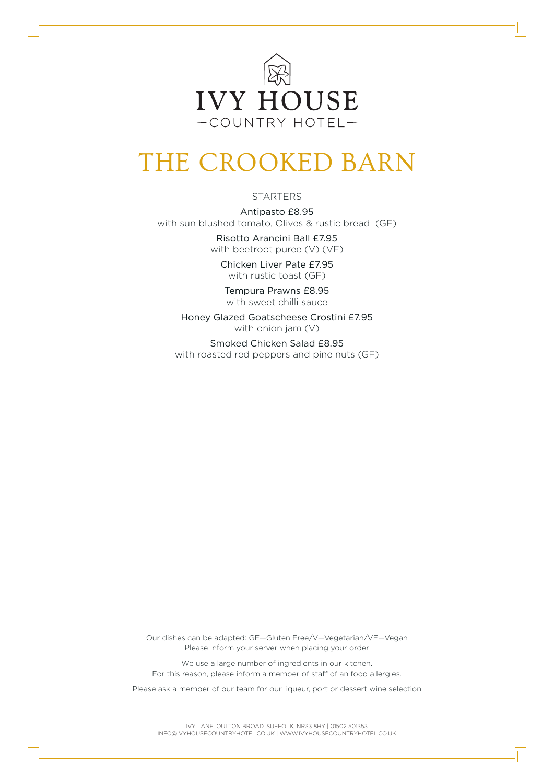

## THE CROOKED BARN

## STARTERS

Antipasto £8.95 with sun blushed tomato, Olives & rustic bread (GF)

> Risotto Arancini Ball £7.95 with beetroot puree (V) (VE)

Chicken Liver Pate £7.95 with rustic toast (GF)

Tempura Prawns £8.95 with sweet chilli sauce

Honey Glazed Goatscheese Crostini £7.95 with onion jam (V)

Smoked Chicken Salad £8.95 with roasted red peppers and pine nuts (GF)

Our dishes can be adapted: GF—Gluten Free/V—Vegetarian/VE—Vegan Please inform your server when placing your order

We use a large number of ingredients in our kitchen. For this reason, please inform a member of staff of an food allergies.

Please ask a member of our team for our liqueur, port or dessert wine selection

IVY LANE, OULTON BROAD, SUFFOLK, NR33 8HY | 01502 501353 INFO@IVYHOUSECOUNTRYHOTEL.CO.UK | WWW.IVYHOUSECOUNTRYHOTEL.CO.UK